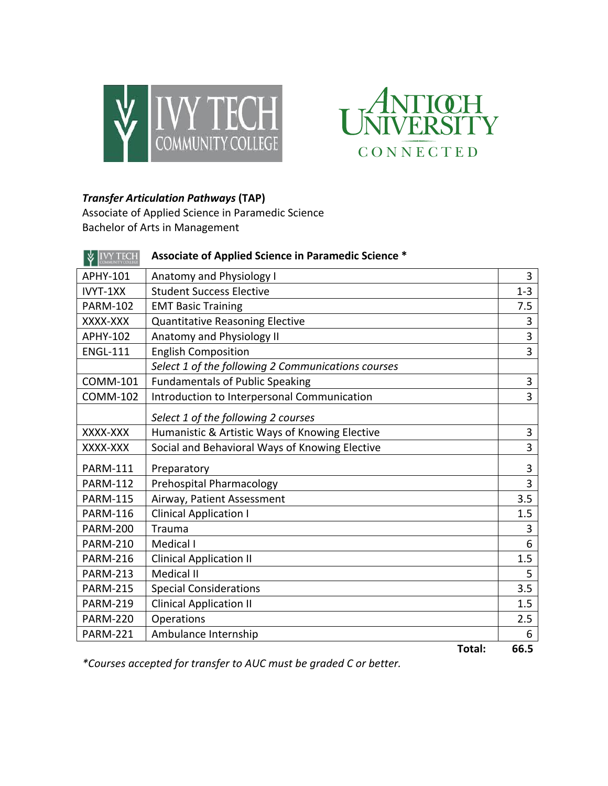



## *Transfer Articulation Pathways* **(TAP)**

Associate of Applied Science in Paramedic Science Bachelor of Arts in Management

| <b>VIVY TECH</b> | Associate of Applied Science in Paramedic Science * |                |
|------------------|-----------------------------------------------------|----------------|
| APHY-101         | Anatomy and Physiology I                            | 3              |
| IVYT-1XX         | <b>Student Success Elective</b>                     |                |
| <b>PARM-102</b>  | <b>EMT Basic Training</b>                           |                |
| XXXX-XXX         | Quantitative Reasoning Elective                     |                |
| <b>APHY-102</b>  | Anatomy and Physiology II                           |                |
| <b>ENGL-111</b>  | <b>English Composition</b>                          |                |
|                  | Select 1 of the following 2 Communications courses  |                |
| <b>COMM-101</b>  | <b>Fundamentals of Public Speaking</b>              | 3              |
| <b>COMM-102</b>  | Introduction to Interpersonal Communication         | $\overline{3}$ |
|                  | Select 1 of the following 2 courses                 |                |
| XXXX-XXX         | Humanistic & Artistic Ways of Knowing Elective      | 3              |
| XXXX-XXX         | Social and Behavioral Ways of Knowing Elective      | 3              |
| <b>PARM-111</b>  | Preparatory                                         | 3              |
| <b>PARM-112</b>  | Prehospital Pharmacology                            |                |
| <b>PARM-115</b>  | Airway, Patient Assessment                          | 3.5            |
| <b>PARM-116</b>  | <b>Clinical Application I</b>                       |                |
| <b>PARM-200</b>  | Trauma                                              |                |
| <b>PARM-210</b>  | Medical I                                           |                |
| <b>PARM-216</b>  | <b>Clinical Application II</b>                      | 1.5            |
| <b>PARM-213</b>  | <b>Medical II</b>                                   | 5              |
| <b>PARM-215</b>  | <b>Special Considerations</b>                       | 3.5            |
| <b>PARM-219</b>  | <b>Clinical Application II</b>                      | 1.5            |
| <b>PARM-220</b>  | Operations                                          | 2.5            |
| <b>PARM-221</b>  | Ambulance Internship                                | 6              |
|                  | Total:                                              | 66.5           |

*\*Courses accepted for transfer to AUC must be graded C or better.*